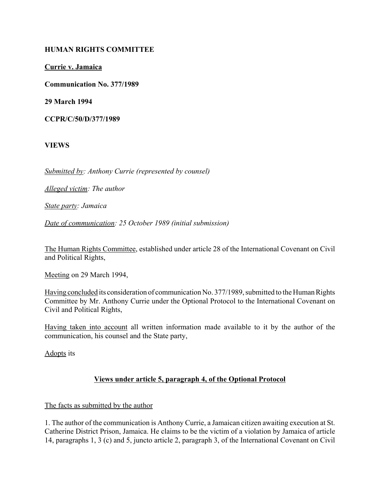#### **HUMAN RIGHTS COMMITTEE**

**Currie v. Jamaica**

**Communication No. 377/1989**

**29 March 1994**

**CCPR/C/50/D/377/1989**

**VIEWS**

*Submitted by: Anthony Currie (represented by counsel)* 

*Alleged victim: The author* 

*State party: Jamaica* 

*Date of communication: 25 October 1989 (initial submission)* 

The Human Rights Committee, established under article 28 of the International Covenant on Civil and Political Rights,

Meeting on 29 March 1994,

Having concluded its consideration of communication No. 377/1989, submitted to the Human Rights Committee by Mr. Anthony Currie under the Optional Protocol to the International Covenant on Civil and Political Rights,

Having taken into account all written information made available to it by the author of the communication, his counsel and the State party,

Adopts its

## **Views under article 5, paragraph 4, of the Optional Protocol**

#### The facts as submitted by the author

1. The author of the communication is Anthony Currie, a Jamaican citizen awaiting execution at St. Catherine District Prison, Jamaica. He claims to be the victim of a violation by Jamaica of article 14, paragraphs 1, 3 (c) and 5, juncto article 2, paragraph 3, of the International Covenant on Civil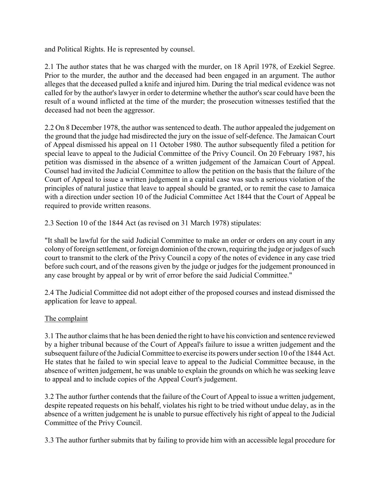and Political Rights. He is represented by counsel.

2.1 The author states that he was charged with the murder, on 18 April 1978, of Ezekiel Segree. Prior to the murder, the author and the deceased had been engaged in an argument. The author alleges that the deceased pulled a knife and injured him. During the trial medical evidence was not called for by the author's lawyer in order to determine whether the author's scar could have been the result of a wound inflicted at the time of the murder; the prosecution witnesses testified that the deceased had not been the aggressor.

2.2 On 8 December 1978, the author was sentenced to death. The author appealed the judgement on the ground that the judge had misdirected the jury on the issue of self-defence. The Jamaican Court of Appeal dismissed his appeal on 11 October 1980. The author subsequently filed a petition for special leave to appeal to the Judicial Committee of the Privy Council. On 20 February 1987, his petition was dismissed in the absence of a written judgement of the Jamaican Court of Appeal. Counsel had invited the Judicial Committee to allow the petition on the basis that the failure of the Court of Appeal to issue a written judgement in a capital case was such a serious violation of the principles of natural justice that leave to appeal should be granted, or to remit the case to Jamaica with a direction under section 10 of the Judicial Committee Act 1844 that the Court of Appeal be required to provide written reasons.

2.3 Section 10 of the 1844 Act (as revised on 31 March 1978) stipulates:

"It shall be lawful for the said Judicial Committee to make an order or orders on any court in any colony of foreign settlement, or foreign dominion of the crown, requiring the judge or judges of such court to transmit to the clerk of the Privy Council a copy of the notes of evidence in any case tried before such court, and of the reasons given by the judge or judges for the judgement pronounced in any case brought by appeal or by writ of error before the said Judicial Committee."

2.4 The Judicial Committee did not adopt either of the proposed courses and instead dismissed the application for leave to appeal.

## The complaint

3.1 The author claims that he has been denied the right to have his conviction and sentence reviewed by a higher tribunal because of the Court of Appeal's failure to issue a written judgement and the subsequent failure of the Judicial Committee to exercise its powers under section 10 of the 1844 Act. He states that he failed to win special leave to appeal to the Judicial Committee because, in the absence of written judgement, he was unable to explain the grounds on which he was seeking leave to appeal and to include copies of the Appeal Court's judgement.

3.2 The author further contends that the failure of the Court of Appeal to issue a written judgement, despite repeated requests on his behalf, violates his right to be tried without undue delay, as in the absence of a written judgement he is unable to pursue effectively his right of appeal to the Judicial Committee of the Privy Council.

3.3 The author further submits that by failing to provide him with an accessible legal procedure for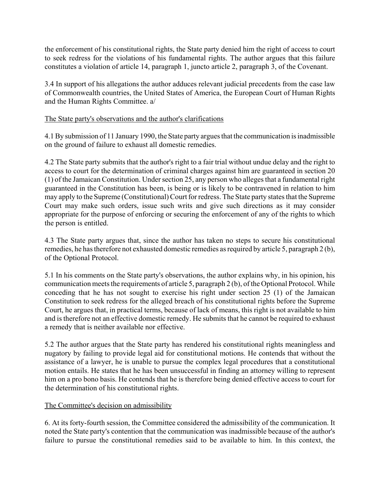the enforcement of his constitutional rights, the State party denied him the right of access to court to seek redress for the violations of his fundamental rights. The author argues that this failure constitutes a violation of article 14, paragraph 1, juncto article 2, paragraph 3, of the Covenant.

3.4 In support of his allegations the author adduces relevant judicial precedents from the case law of Commonwealth countries, the United States of America, the European Court of Human Rights and the Human Rights Committee. a/

## The State party's observations and the author's clarifications

4.1 By submission of 11 January 1990, the State party argues that the communication is inadmissible on the ground of failure to exhaust all domestic remedies.

4.2 The State party submits that the author's right to a fair trial without undue delay and the right to access to court for the determination of criminal charges against him are guaranteed in section 20 (1) of the Jamaican Constitution. Under section 25, any person who alleges that a fundamental right guaranteed in the Constitution has been, is being or is likely to be contravened in relation to him may apply to the Supreme (Constitutional) Court for redress. The State party states that the Supreme Court may make such orders, issue such writs and give such directions as it may consider appropriate for the purpose of enforcing or securing the enforcement of any of the rights to which the person is entitled.

4.3 The State party argues that, since the author has taken no steps to secure his constitutional remedies, he has therefore not exhausted domestic remedies as required by article 5, paragraph 2 (b), of the Optional Protocol.

5.1 In his comments on the State party's observations, the author explains why, in his opinion, his communication meets the requirements of article 5, paragraph 2 (b), of the Optional Protocol. While conceding that he has not sought to exercise his right under section 25 (1) of the Jamaican Constitution to seek redress for the alleged breach of his constitutional rights before the Supreme Court, he argues that, in practical terms, because of lack of means, this right is not available to him and is therefore not an effective domestic remedy. He submits that he cannot be required to exhaust a remedy that is neither available nor effective.

5.2 The author argues that the State party has rendered his constitutional rights meaningless and nugatory by failing to provide legal aid for constitutional motions. He contends that without the assistance of a lawyer, he is unable to pursue the complex legal procedures that a constitutional motion entails. He states that he has been unsuccessful in finding an attorney willing to represent him on a pro bono basis. He contends that he is therefore being denied effective access to court for the determination of his constitutional rights.

## The Committee's decision on admissibility

6. At its forty-fourth session, the Committee considered the admissibility of the communication. It noted the State party's contention that the communication was inadmissible because of the author's failure to pursue the constitutional remedies said to be available to him. In this context, the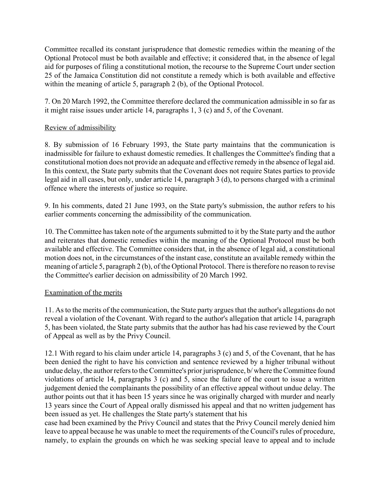Committee recalled its constant jurisprudence that domestic remedies within the meaning of the Optional Protocol must be both available and effective; it considered that, in the absence of legal aid for purposes of filing a constitutional motion, the recourse to the Supreme Court under section 25 of the Jamaica Constitution did not constitute a remedy which is both available and effective within the meaning of article 5, paragraph 2 (b), of the Optional Protocol.

7. On 20 March 1992, the Committee therefore declared the communication admissible in so far as it might raise issues under article 14, paragraphs 1, 3 (c) and 5, of the Covenant.

# Review of admissibility

8. By submission of 16 February 1993, the State party maintains that the communication is inadmissible for failure to exhaust domestic remedies. It challenges the Committee's finding that a constitutional motion does not provide an adequate and effective remedy in the absence of legal aid. In this context, the State party submits that the Covenant does not require States parties to provide legal aid in all cases, but only, under article 14, paragraph 3 (d), to persons charged with a criminal offence where the interests of justice so require.

9. In his comments, dated 21 June 1993, on the State party's submission, the author refers to his earlier comments concerning the admissibility of the communication.

10. The Committee has taken note of the arguments submitted to it by the State party and the author and reiterates that domestic remedies within the meaning of the Optional Protocol must be both available and effective. The Committee considers that, in the absence of legal aid, a constitutional motion does not, in the circumstances of the instant case, constitute an available remedy within the meaning of article 5, paragraph 2 (b), of the Optional Protocol. There is therefore no reason to revise the Committee's earlier decision on admissibility of 20 March 1992.

## Examination of the merits

11. As to the merits of the communication, the State party argues that the author's allegations do not reveal a violation of the Covenant. With regard to the author's allegation that article 14, paragraph 5, has been violated, the State party submits that the author has had his case reviewed by the Court of Appeal as well as by the Privy Council.

12.1 With regard to his claim under article 14, paragraphs 3 (c) and 5, of the Covenant, that he has been denied the right to have his conviction and sentence reviewed by a higher tribunal without undue delay, the author refers to the Committee's prior jurisprudence, b/ where the Committee found violations of article 14, paragraphs 3 (c) and 5, since the failure of the court to issue a written judgement denied the complainants the possibility of an effective appeal without undue delay. The author points out that it has been 15 years since he was originally charged with murder and nearly 13 years since the Court of Appeal orally dismissed his appeal and that no written judgement has been issued as yet. He challenges the State party's statement that his

case had been examined by the Privy Council and states that the Privy Council merely denied him leave to appeal because he was unable to meet the requirements of the Council's rules of procedure, namely, to explain the grounds on which he was seeking special leave to appeal and to include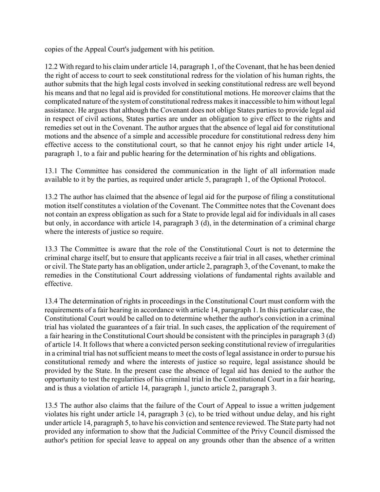copies of the Appeal Court's judgement with his petition.

12.2 With regard to his claim under article 14, paragraph 1, of the Covenant, that he has been denied the right of access to court to seek constitutional redress for the violation of his human rights, the author submits that the high legal costs involved in seeking constitutional redress are well beyond his means and that no legal aid is provided for constitutional motions. He moreover claims that the complicated nature of the system of constitutional redress makes it inaccessible to him without legal assistance. He argues that although the Covenant does not oblige States parties to provide legal aid in respect of civil actions, States parties are under an obligation to give effect to the rights and remedies set out in the Covenant. The author argues that the absence of legal aid for constitutional motions and the absence of a simple and accessible procedure for constitutional redress deny him effective access to the constitutional court, so that he cannot enjoy his right under article 14, paragraph 1, to a fair and public hearing for the determination of his rights and obligations.

13.1 The Committee has considered the communication in the light of all information made available to it by the parties, as required under article 5, paragraph 1, of the Optional Protocol.

13.2 The author has claimed that the absence of legal aid for the purpose of filing a constitutional motion itself constitutes a violation of the Covenant. The Committee notes that the Covenant does not contain an express obligation as such for a State to provide legal aid for individuals in all cases but only, in accordance with article 14, paragraph 3 (d), in the determination of a criminal charge where the interests of justice so require.

13.3 The Committee is aware that the role of the Constitutional Court is not to determine the criminal charge itself, but to ensure that applicants receive a fair trial in all cases, whether criminal or civil. The State party has an obligation, under article 2, paragraph 3, of the Covenant, to make the remedies in the Constitutional Court addressing violations of fundamental rights available and effective.

13.4 The determination of rights in proceedings in the Constitutional Court must conform with the requirements of a fair hearing in accordance with article 14, paragraph 1. In this particular case, the Constitutional Court would be called on to determine whether the author's conviction in a criminal trial has violated the guarantees of a fair trial. In such cases, the application of the requirement of a fair hearing in the Constitutional Court should be consistent with the principles in paragraph 3 (d) of article 14. It follows that where a convicted person seeking constitutional review of irregularities in a criminal trial has not sufficient means to meet the costs of legal assistance in order to pursue his constitutional remedy and where the interests of justice so require, legal assistance should be provided by the State. In the present case the absence of legal aid has denied to the author the opportunity to test the regularities of his criminal trial in the Constitutional Court in a fair hearing, and is thus a violation of article 14, paragraph 1, juncto article 2, paragraph 3.

13.5 The author also claims that the failure of the Court of Appeal to issue a written judgement violates his right under article 14, paragraph 3 (c), to be tried without undue delay, and his right under article 14, paragraph 5, to have his conviction and sentence reviewed. The State party had not provided any information to show that the Judicial Committee of the Privy Council dismissed the author's petition for special leave to appeal on any grounds other than the absence of a written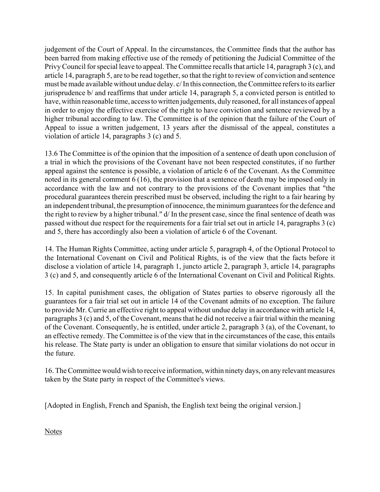judgement of the Court of Appeal. In the circumstances, the Committee finds that the author has been barred from making effective use of the remedy of petitioning the Judicial Committee of the Privy Council for special leave to appeal. The Committee recalls that article 14, paragraph 3 (c), and article 14, paragraph 5, are to be read together, so that the right to review of conviction and sentence must be made available without undue delay. c/ In this connection, the Committee refers to its earlier jurisprudence b/ and reaffirms that under article 14, paragraph 5, a convicted person is entitled to have, within reasonable time, access to written judgements, duly reasoned, for all instances of appeal in order to enjoy the effective exercise of the right to have conviction and sentence reviewed by a higher tribunal according to law. The Committee is of the opinion that the failure of the Court of Appeal to issue a written judgement, 13 years after the dismissal of the appeal, constitutes a violation of article 14, paragraphs 3 (c) and 5.

13.6 The Committee is of the opinion that the imposition of a sentence of death upon conclusion of a trial in which the provisions of the Covenant have not been respected constitutes, if no further appeal against the sentence is possible, a violation of article 6 of the Covenant. As the Committee noted in its general comment 6 (16), the provision that a sentence of death may be imposed only in accordance with the law and not contrary to the provisions of the Covenant implies that "the procedural guarantees therein prescribed must be observed, including the right to a fair hearing by an independent tribunal, the presumption of innocence, the minimum guarantees for the defence and the right to review by a higher tribunal." d/ In the present case, since the final sentence of death was passed without due respect for the requirements for a fair trial set out in article 14, paragraphs 3 (c) and 5, there has accordingly also been a violation of article 6 of the Covenant.

14. The Human Rights Committee, acting under article 5, paragraph 4, of the Optional Protocol to the International Covenant on Civil and Political Rights, is of the view that the facts before it disclose a violation of article 14, paragraph 1, juncto article 2, paragraph 3, article 14, paragraphs 3 (c) and 5, and consequently article 6 of the International Covenant on Civil and Political Rights.

15. In capital punishment cases, the obligation of States parties to observe rigorously all the guarantees for a fair trial set out in article 14 of the Covenant admits of no exception. The failure to provide Mr. Currie an effective right to appeal without undue delay in accordance with article 14, paragraphs 3 (c) and 5, of the Covenant, means that he did not receive a fair trial within the meaning of the Covenant. Consequently, he is entitled, under article 2, paragraph 3 (a), of the Covenant, to an effective remedy. The Committee is of the view that in the circumstances of the case, this entails his release. The State party is under an obligation to ensure that similar violations do not occur in the future.

16. The Committee would wish to receive information, within ninety days, on any relevant measures taken by the State party in respect of the Committee's views.

[Adopted in English, French and Spanish, the English text being the original version.]

Notes